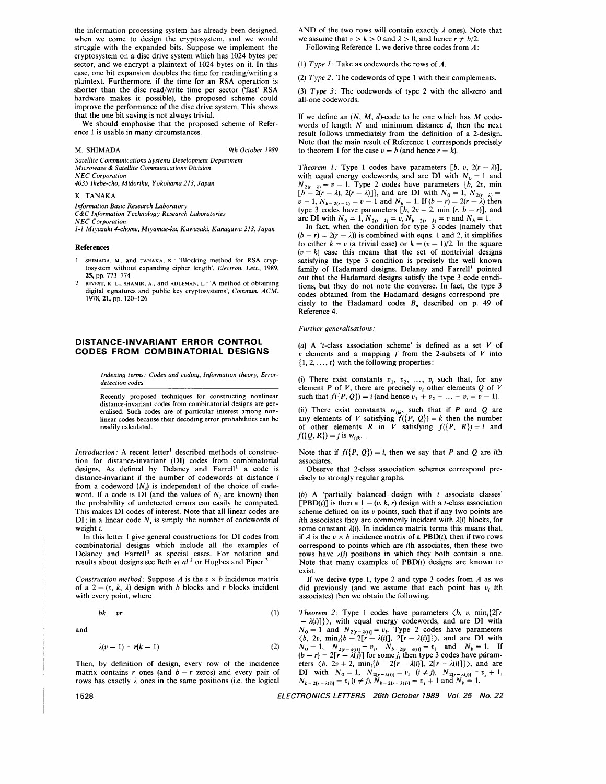the information processing system has already been designed, when we come to design the cryptosystem, and we would struggle with the expanded bits. Suppose we implement the cryptosystem on a disc drive system which has 1024 bytes per sector, and we encrypt a plaintext of 1024 bytes on it. In this case, one bit expansion doubles the time for reading/writing a plaintext. Furthermore, if the time for an RSA operation is shorter than the disc read/write time per sector ('fast' RSA hardware makes it possible), the proposed scheme could improve the performance of the disc drive system. This shows that the one bit saving is not always trivial.

We should emphasise that the proposed scheme of Reference 1 is usable in many circumstances.

**M. SHIMADA** *9th October 1989* 

*Satellite Communications Systems Development Department Microwave* & *Satellite Communications Division NEC Corporation* 

*4035 Ikebe-cho, Midoriku, Yokohama 213, Japan* 

### K. **TANAKA**

*Information Basic Research Laboratory* 

*C&C Information Technology Research Laboratories* 

*NEC Corporation* 

*1-1 Miyazaki 4-chome, Miyamae-ku, Kawasaki, Kanagawa 213, Japan* 

#### **References**

- 1 SHIMADA, M., **and** TANAKA, K.: **'Blocking method for RSA cryptosystem without expanding cipher length',** *Electron. Lett.,* 1989, **25, pp.** 773-774
- 2 RIVEST, R. L., SHAMIR, A., **and** ADLEMAN, L.: **'A method** of **obtaining**  digital signatures and public key cryptosystems', *Commun. ACM*, 1978,21, **pp.** 12G-126

# **DISTANCE-INVARIANT ERROR CONTROL CODES FROM COMBINATORIAL DESIGNS**

*Indexing terms: Codes and coding, Information theory, Errordetection codes* 

**Recently proposed techniques for constructing nonlinear distance-invariant codes from combinatorial designs are generalised. Such codes are** of **particular interest among nonlinear codes because their decoding error probabilities can be readily calculated.** 

*Introduction;* A recent letter' described methods of construction for distance-invariant (DI) codes from combinatorial designs. As defined by Delaney and Farrell' a code is distance-invariant if the number of codewords at distance *i*  from a codeword  $(N_i)$  is independent of the choice of codeword. If a code is  $DI$  (and the values of  $N_i$  are known) then the probability of undetected errors can easily be computed. This makes DI codes of interest. Note that all linear codes are DI; in a linear code  $N_i$  is simply the number of codewords of weight *i.* 

In this letter I give general constructions for DI codes from combinatorial designs which include all the examples of Delaney and Farrell' as special cases. For notation and results about designs see Beth et al.<sup>2</sup> or Hughes and Piper.<sup>3</sup>

*Construction method:* Suppose *A* is the  $v \times b$  incidence matrix of a  $2 - (v, k, \lambda)$  design with *b* blocks and *r* blocks incident with every point, where

$$
bk = vr \tag{1}
$$

and

$$
\lambda(v-1)=r(k-1) \tag{2}
$$

Then, by definition of design, every row of the incidence matrix contains *r* ones (and *b* - *r* zeros) and every pair of rows has exactly  $\lambda$  ones in the same positions (i.e. the logical

AND of the two rows will contain exactly  $\lambda$  ones). Note that we assume that  $v > k > 0$  and  $\lambda > 0$ , and hence  $r \neq b/2$ . Following Reference 1, we derive three codes from A:

(1) *Type 1:* Take as codewords the rows of A.

(2) *Type* 2: The codewords of type 1 with their complements.

(3) *Type 3:* The codewords of type 2 with the all-zero and all-one codewords.

If we define an *(N,* M, d)-code to be one which has M codewords of length *N* and minimum distance *d,* then the next result follows immediately from the definition of a 2-design. Note that the main result of Reference 1 corresponds precisely to theorem 1 for the case  $v = b$  (and hence  $r = k$ ).

*Theorem 1:* Type 1 codes have parameters  $[b, v, 2(r - \lambda)]$ , with equal energy codewords, and are DI with  $N_0 = 1$  and with equal energy codewords, and are DI with  $N_0 = 1$  and  $N_2(v-\lambda) = v - 1$ . Type 2 codes have parameters  $\{b, 2v, \text{ min}\}$  $N_{2(r-\lambda)} = v - 1$ . Type 2 codes have parameters {*b*, 2*v*, min [*b* - 2(*r* -  $\lambda$ ), 2(*r* -  $\lambda$ )]}, and are DI with  $N_0 = 1$ ,  $N_{2(r-\lambda)} =$  $[b - 2(r - \lambda), 2(r - \lambda)]$ , and are DI with  $N_0 = 1, N_{2(r - \lambda)} = v - 1, N_{b-2(r - \lambda)} = v - 1$  and  $N_{b} = 1$ . If  $(b - r) = 2(r - \lambda)$  then  $v-1$ ,  $N_{b-2(r-\lambda)} = v-1$  and  $N_b = 1$ . If  $(b-r) = 2(r-\lambda)$  then type 3 codes have parameters  $[b, 2v + 2, \min(r, b-r)]$ , and are DI with  $N_0 = 1$ ,  $N_{2(r-\lambda)} = v$ ,  $N_{b-2(r-\lambda)} = v$  and  $N_b = 1$ .

In fact, when the condition for type 3 codes (namely that  $(b - r) = 2(r - \lambda)$  is combined with eqns. 1 and 2, it simplifies to either  $k = v$  (a trivial case) or  $k = (v - 1)/2$ . In the square  $(v = k)$  case this means that the set of nontrivial designs satisfying the type 3 condition is precisely the well known family of Hadamard designs. Delaney and Farrell' pointed out that the Hadamard designs satisfy the type 3 code conditions, but they do not note the converse. In fact, the type 3 codes obtained from the Hadamard designs correspond precisely to the Hadamard codes *B,* described on p. 49 of Reference 4.

#### *Further generalisations.*

*(a)* A 't-class association scheme' is defined as a set *V* of  $v$  elements and a mapping  $f$  from the 2-subsets of  $V$  into  $\{1, 2, \ldots, t\}$  with the following properties:

(i) There exist constants  $v_1$ ,  $v_2$ , ...,  $v_t$  such that, for any element *P* of *V*, there are precisely  $v_i$  other elements *Q* of *V* such that  $f({P, Q}) = i$  (and hence  $v_1 + v_2 + ... + v_t = v - 1$ ).

(ii) There exist constants  $w_{ijk}$ , such that if *P* and *Q* are any elements of *V* satisfying  $f({P, Q}) = k$  then the number of other elements R in V satisfying  $f({P, R}) = i$  and  $f({Q, R}) = j$  is  $w_{ijk}$ .

Note that if  $f({P, Q}) = i$ , then we say that P and Q are ith associates.

Observe that 2-class association schemes correspond precisely to strongly regular graphs.

(b) A 'partially balanced design with t associate classes' [PBD(t)] is then a  $1 - (v, k, r)$  design with a t-class association scheme defined on its *v* points, such that if any two points are ith associates they are commonly incident with  $\lambda(i)$  blocks, for some constant  $\lambda(i)$ . In incidence matrix terms this means that, if A is the  $v \times b$  incidence matrix of a PBD(t), then if two rows correspond to points which are ith associates, then these two rows have *A(i)* positions in which they both contain a one. Note that many examples of  $PBD(t)$  designs are known to exist.

If we derive type.1, type 2 and type 3 codes from  $A$  as we did previously (and we assume that each point has  $v_i$  *i*th associates) then we obtain the following.

*Theorem 2:* Type 1 codes have parameters  $\langle b, v, \min_{i} \{2[r - \lambda(i)]\}\rangle$ , with equal energy codewords, and are DI with  $N_0 = 1$  and  $N_{2[r-\lambda(i)]} = v_i$ . Type 2 codes have parameters  $\langle b, 2v, \min_i\{b - 2[r - \lambda(i)], 2[r - \lambda(i)]\}\rangle$ , and are DI with  $N_0 = 1$ ,  $N_{2[r-2(i)]} = v_i$ ,  $N_{b-2[r-2(i)]} = v_i$  and  $N_b = 1$ . If  $(b-r) = 2[r - \lambda(j)]$  for some *j*, then type 3 codes have param- $(b - r) = 2[r - \lambda(j)]$  for some *j*, then type 3 codes have parameters  $\langle b, 2v + 2, \min_{i} \{b - 2[r - \lambda(i)], 2[r - \lambda(i)]\} \rangle$ , and are DI with  $N_0 = 1$ ,  $N_{2[r-\lambda(i)]} = v_i$   $(i \neq j)$ ,  $N_{2[r-\lambda(i)]} = v_j + 1$ ,  $N_{b-2[r-\lambda(i)]} = v_i (i \neq j), \, \tilde{N}_{b-2[r-\lambda(j)]} = v_j + 1 \text{ and } N_b = 1.$ 

**1528** *ELECTRONICS LETTERS 26th October 1989 Vol. 25 No. 22*